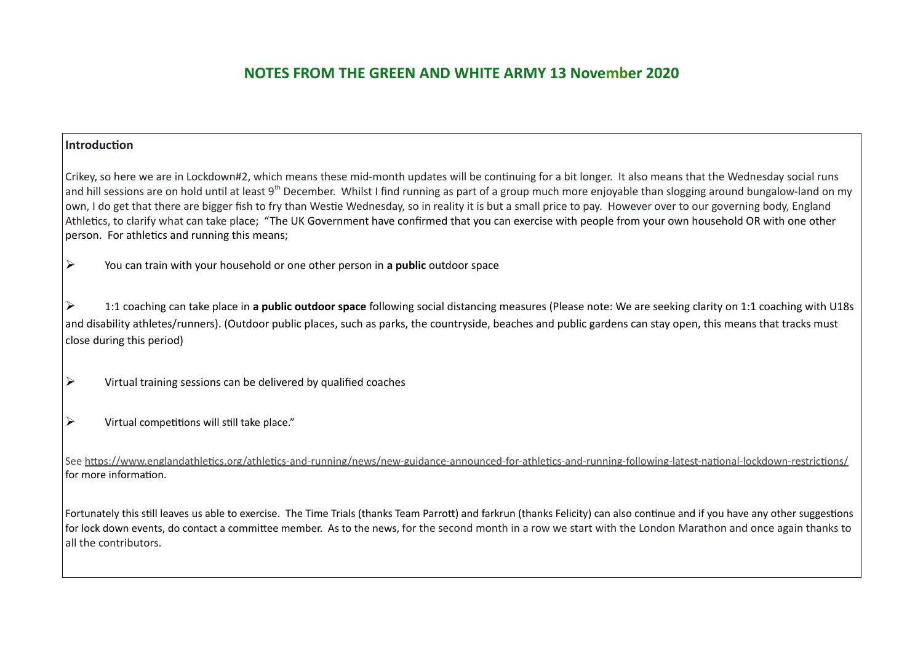#### **Introduction**

Crikey, so here we are in Lockdown#2, which means these mid-month updates will be continuing for a bit longer. It also means that the Wednesday social runs and hill sessions are on hold until at least 9<sup>th</sup> December. Whilst I find running as part of a group much more enjoyable than slogging around bungalow-land on my own, I do get that there are bigger fish to fry than Westie Wednesday, so in reality it is but a small price to pay. However over to our governing body, England Athletics, to clarify what can take place; "The UK Government have confirmed that you can exercise with people from your own household OR with one other person. For athletics and running this means;

You can train with your household or one other person in **a public** outdoor space

 1:1 coaching can take place in **a public outdoor space** following social distancing measures (Please note: We are seeking clarity on 1:1 coaching with U18s and disability athletes/runners). (Outdoor public places, such as parks, the countryside, beaches and public gardens can stay open, this means that tracks must close during this period)

- $\triangleright$  Virtual training sessions can be delivered by qualified coaches
- $\triangleright$  Virtual competitions will still take place."

See<https://www.englandathletics.org/athletics-and-running/news/new-guidance-announced-for-athletics-and-running-following-latest-national-lockdown-restrictions/> for more information.

Fortunately this still leaves us able to exercise. The Time Trials (thanks Team Parrott) and farkrun (thanks Felicity) can also continue and if you have any other suggestions for lock down events, do contact a committee member. As to the news, for the second month in a row we start with the London Marathon and once again thanks to all the contributors.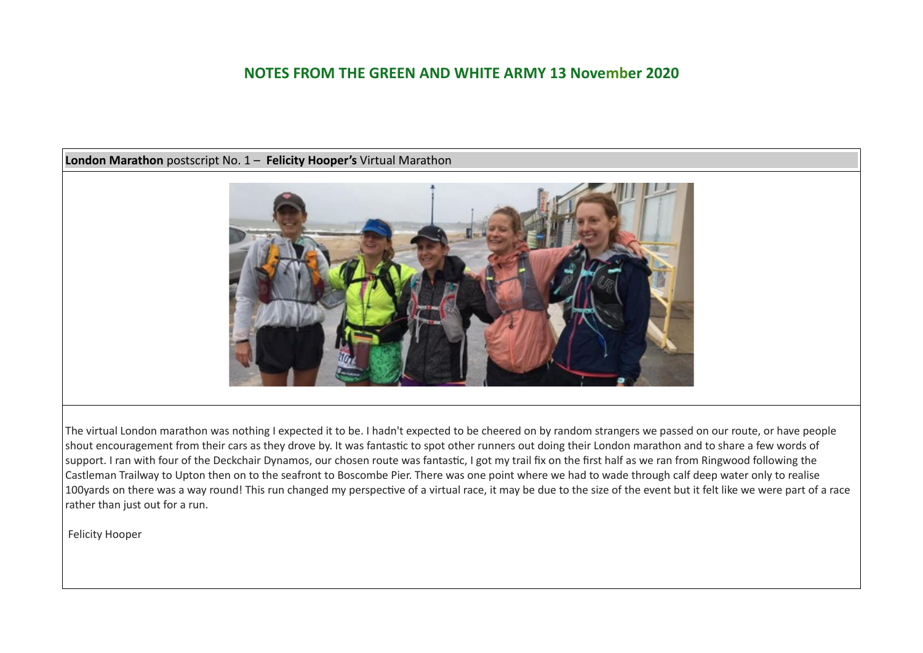### **London Marathon** postscript No. 1 – **Felicity Hooper's** Virtual Marathon



The virtual London marathon was nothing I expected it to be. I hadn't expected to be cheered on by random strangers we passed on our route, or have people shout encouragement from their cars as they drove by. It was fantastic to spot other runners out doing their London marathon and to share a few words of support. I ran with four of the Deckchair Dynamos, our chosen route was fantastic, I got my trail fix on the first half as we ran from Ringwood following the Castleman Trailway to Upton then on to the seafront to Boscombe Pier. There was one point where we had to wade through calf deep water only to realise 100yards on there was a way round! This run changed my perspective of a virtual race, it may be due to the size of the event but it felt like we were part of a race rather than just out for a run.

Felicity Hooper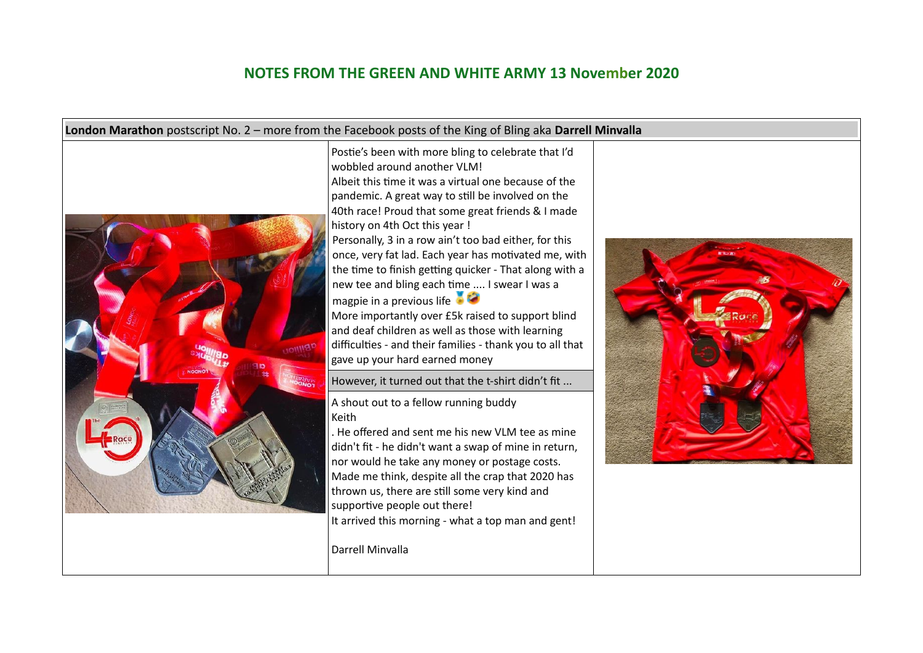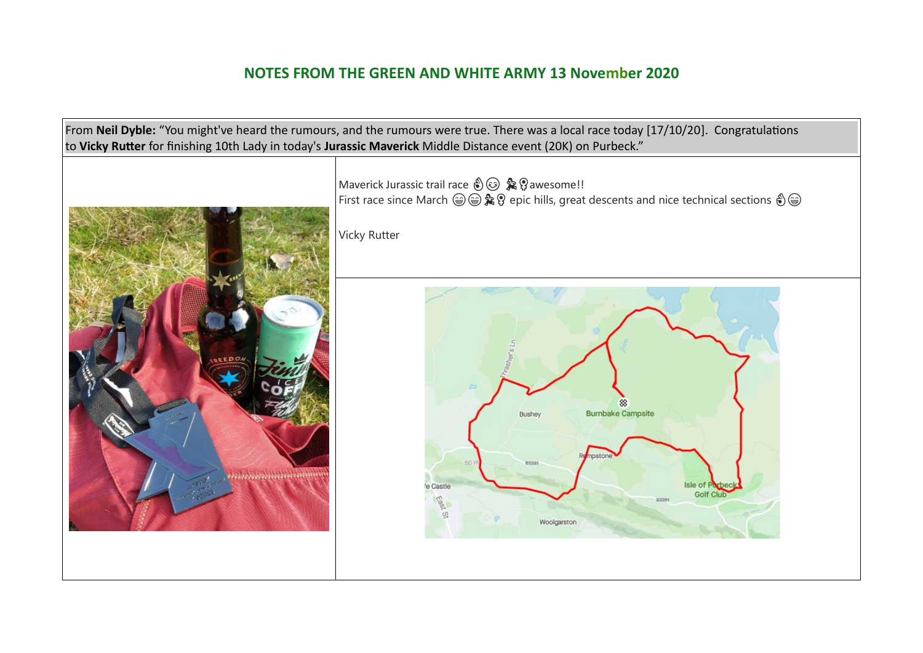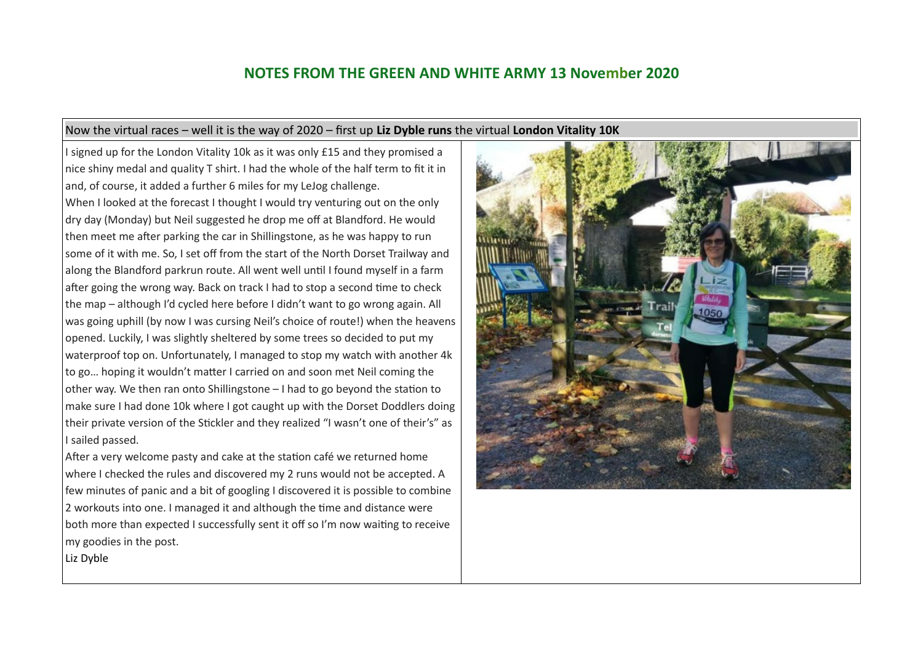#### Now the virtual races – well it is the way of 2020 – first up **Liz Dyble runs** the virtual **London Vitality 10K**

I signed up for the London Vitality 10k as it was only £15 and they promised a nice shiny medal and quality T shirt. I had the whole of the half term to fit it in and, of course, it added a further 6 miles for my LeJog challenge. When I looked at the forecast I thought I would try venturing out on the only dry day (Monday) but Neil suggested he drop me off at Blandford. He would then meet me after parking the car in Shillingstone, as he was happy to run some of it with me. So, I set off from the start of the North Dorset Trailway and along the Blandford parkrun route. All went well until I found myself in a farm after going the wrong way. Back on track I had to stop a second time to check the map – although I'd cycled here before I didn't want to go wrong again. All was going uphill (by now I was cursing Neil's choice of route!) when the heavens opened. Luckily, I was slightly sheltered by some trees so decided to put my waterproof top on. Unfortunately, I managed to stop my watch with another 4k to go… hoping it wouldn't matter I carried on and soon met Neil coming the other way. We then ran onto Shillingstone – I had to go beyond the station to make sure I had done 10k where I got caught up with the Dorset Doddlers doing their private version of the Stickler and they realized "I wasn't one of their's" as I sailed passed.

After a very welcome pasty and cake at the station café we returned home where I checked the rules and discovered my 2 runs would not be accepted. A few minutes of panic and a bit of googling I discovered it is possible to combine 2 workouts into one. I managed it and although the time and distance were both more than expected I successfully sent it off so I'm now waiting to receive my goodies in the post.



Liz Dyble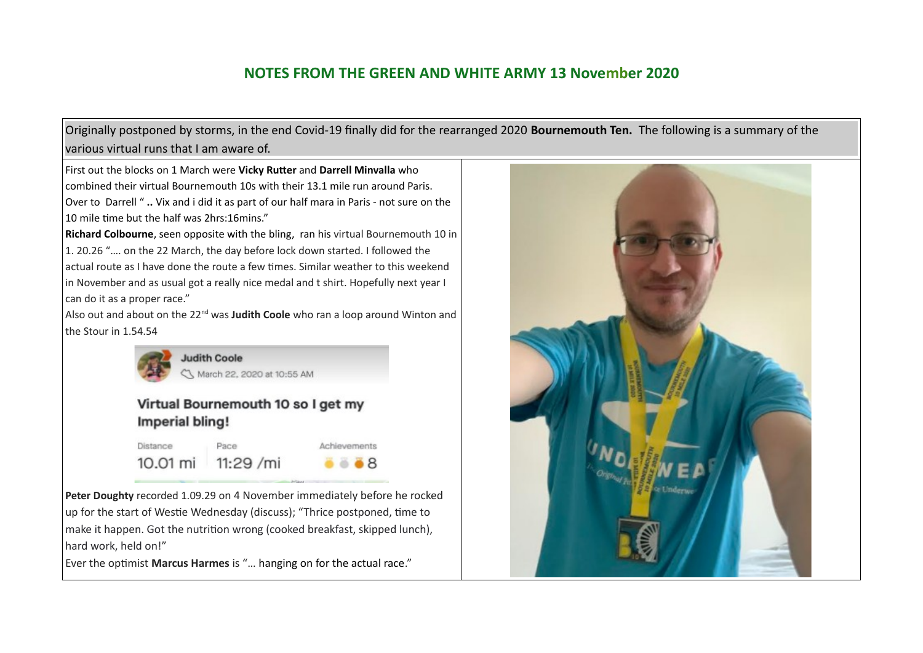Originally postponed by storms, in the end Covid-19 finally did for the rearranged 2020 **Bournemouth Ten.** The following is a summary of the various virtual runs that I am aware of.

First out the blocks on 1 March were **Vicky Rutter** and **Darrell Minvalla** who combined their virtual Bournemouth 10s with their 13.1 mile run around Paris. Over to Darrell " **..** Vix and i did it as part of our half mara in Paris - not sure on the 10 mile time but the half was 2hrs:16mins."

**Richard Colbourne**, seen opposite with the bling, ran his virtual Bournemouth 10 in 1. 20.26 "…. on the 22 March, the day before lock down started. I followed the actual route as I have done the route a few times. Similar weather to this weekend in November and as usual got a really nice medal and t shirt. Hopefully next year I can do it as a proper race."

Also out and about on the 22<sup>nd</sup> was **Judith Coole** who ran a loop around Winton and the Stour in 1.54.54



## Virtual Bournemouth 10 so I get my Imperial bling!

Distance Pace Achievements 10.01 mi 11:29 /mi  $\bullet$   $\bullet$  8

**Peter Doughty** recorded 1.09.29 on 4 November immediately before he rocked up for the start of Westie Wednesday (discuss); "Thrice postponed, time to make it happen. Got the nutrition wrong (cooked breakfast, skipped lunch), hard work, held on!"

Ever the optimist **Marcus Harmes** is "… hanging on for the actual race."

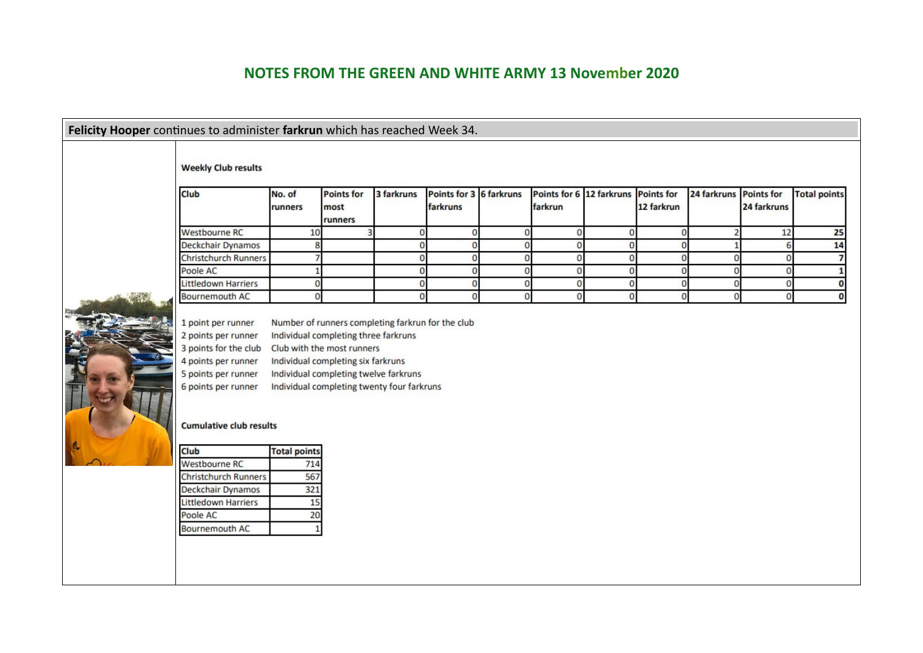|  | Felicity Hooper continues to administer farkrun which has reached Week 34.<br><b>Weekly Club results</b>                                                                                                                         |                     |                                      |             |                                     |             |                                                |              |              |              |                                  |                     |
|--|----------------------------------------------------------------------------------------------------------------------------------------------------------------------------------------------------------------------------------|---------------------|--------------------------------------|-------------|-------------------------------------|-------------|------------------------------------------------|--------------|--------------|--------------|----------------------------------|---------------------|
|  | <b>Club</b>                                                                                                                                                                                                                      | No. of<br>runners   | <b>Points for</b><br>most<br>runners | 3 farkruns  | Points for 3 6 farkruns<br>farkruns |             | Points for 6 12 farkruns Points for<br>farkrun |              | 12 farkrun   | 24 farkruns  | <b>Points for</b><br>24 farkruns | <b>Total points</b> |
|  | <b>Westbourne RC</b>                                                                                                                                                                                                             | 10                  |                                      | $\mathbf 0$ | $\mathbf 0$                         | 0           | $\mathbf 0$                                    | $\mathbf{0}$ | $\mathbf{0}$ |              | 12                               | 25                  |
|  | Deckchair Dynamos                                                                                                                                                                                                                | 8                   |                                      | $\Omega$    | $\mathbf{0}$                        | $\Omega$    | $\mathbf 0$                                    | $\mathbf{0}$ | $\mathbf{0}$ |              | 6                                | 14                  |
|  | <b>Christchurch Runners</b>                                                                                                                                                                                                      |                     |                                      | $\Omega$    | $\Omega$                            | $\Omega$    | $\mathbf 0$                                    | $\Omega$     | $\mathbf{0}$ | $\Omega$     | n                                | $\overline{7}$      |
|  | Poole AC                                                                                                                                                                                                                         |                     |                                      | n           | $\mathbf{0}$                        | $\Omega$    | 0                                              | $\mathbf{0}$ | $\mathbf 0$  | O            | $\Omega$                         | 1                   |
|  | <b>Littledown Harriers</b>                                                                                                                                                                                                       | $\mathbf{0}$        |                                      | $\Omega$    | $\mathbf{0}$                        | $\mathbf 0$ | $\mathbf 0$                                    | $\mathbf{0}$ | $\mathbf{0}$ | $\mathbf{O}$ | $\Omega$                         | $\bf{0}$            |
|  | <b>Bournemouth AC</b>                                                                                                                                                                                                            | $\Omega$            |                                      | $\Omega$    | $\Omega$                            | $\Omega$    | $\mathbf{0}$                                   | $\Omega$     | $\mathbf{0}$ | $\Omega$     | $\Omega$                         | $\Omega$            |
|  | 4 points per runner<br>Individual completing six farkruns<br>5 points per runner<br>Individual completing twelve farkruns<br>6 points per runner<br>Individual completing twenty four farkruns<br><b>Cumulative club results</b> |                     |                                      |             |                                     |             |                                                |              |              |              |                                  |                     |
|  | <b>Club</b>                                                                                                                                                                                                                      | <b>Total points</b> |                                      |             |                                     |             |                                                |              |              |              |                                  |                     |
|  | <b>Westbourne RC</b>                                                                                                                                                                                                             | 714                 |                                      |             |                                     |             |                                                |              |              |              |                                  |                     |
|  | <b>Christchurch Runners</b>                                                                                                                                                                                                      | 567                 |                                      |             |                                     |             |                                                |              |              |              |                                  |                     |
|  | Deckchair Dynamos                                                                                                                                                                                                                | 321                 |                                      |             |                                     |             |                                                |              |              |              |                                  |                     |
|  | <b>Littledown Harriers</b><br>Poole AC                                                                                                                                                                                           | 15<br>20            |                                      |             |                                     |             |                                                |              |              |              |                                  |                     |
|  | <b>Bournemouth AC</b>                                                                                                                                                                                                            |                     |                                      |             |                                     |             |                                                |              |              |              |                                  |                     |
|  |                                                                                                                                                                                                                                  |                     |                                      |             |                                     |             |                                                |              |              |              |                                  |                     |
|  |                                                                                                                                                                                                                                  |                     |                                      |             |                                     |             |                                                |              |              |              |                                  |                     |
|  |                                                                                                                                                                                                                                  |                     |                                      |             |                                     |             |                                                |              |              |              |                                  |                     |